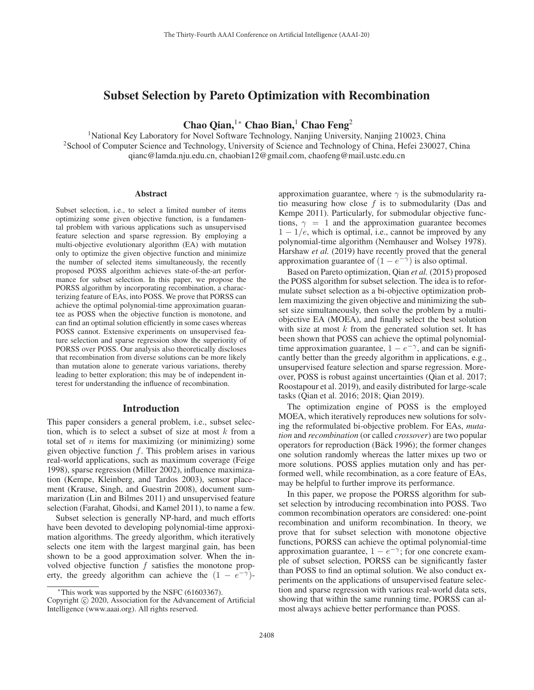# Subset Selection by Pareto Optimization with Recombination

Chao Qian,<sup>1</sup>\* Chao Bian,<sup>1</sup> Chao Feng<sup>2</sup>

<sup>1</sup>National Key Laboratory for Novel Software Technology, Nanjing University, Nanjing 210023, China 2School of Computer Science and Technology, University of Science and Technology of China, Hefei 230027, China qianc@lamda.nju.edu.cn, chaobian12@gmail.com, chaofeng@mail.ustc.edu.cn

#### **Abstract**

Subset selection, i.e., to select a limited number of items optimizing some given objective function, is a fundamental problem with various applications such as unsupervised feature selection and sparse regression. By employing a multi-objective evolutionary algorithm (EA) with mutation only to optimize the given objective function and minimize the number of selected items simultaneously, the recently proposed POSS algorithm achieves state-of-the-art performance for subset selection. In this paper, we propose the PORSS algorithm by incorporating recombination, a characterizing feature of EAs, into POSS. We prove that PORSS can achieve the optimal polynomial-time approximation guarantee as POSS when the objective function is monotone, and can find an optimal solution efficiently in some cases whereas POSS cannot. Extensive experiments on unsupervised feature selection and sparse regression show the superiority of PORSS over POSS. Our analysis also theoretically discloses that recombination from diverse solutions can be more likely than mutation alone to generate various variations, thereby leading to better exploration; this may be of independent interest for understanding the influence of recombination.

#### Introduction

This paper considers a general problem, i.e., subset selection, which is to select a subset of size at most  $k$  from a total set of  $n$  items for maximizing (or minimizing) some given objective function  $f$ . This problem arises in various real-world applications, such as maximum coverage (Feige 1998), sparse regression (Miller 2002), influence maximization (Kempe, Kleinberg, and Tardos 2003), sensor placement (Krause, Singh, and Guestrin 2008), document summarization (Lin and Bilmes 2011) and unsupervised feature selection (Farahat, Ghodsi, and Kamel 2011), to name a few.

Subset selection is generally NP-hard, and much efforts have been devoted to developing polynomial-time approximation algorithms. The greedy algorithm, which iteratively selects one item with the largest marginal gain, has been shown to be a good approximation solver. When the involved objective function  $f$  satisfies the monotone property, the greedy algorithm can achieve the  $(1 - e^{-\gamma})$ -

approximation guarantee, where  $\gamma$  is the submodularity ratio measuring how close  $f$  is to submodularity (Das and Kempe 2011). Particularly, for submodular objective functions,  $\gamma = 1$  and the approximation guarantee becomes  $1 - 1/e$ , which is optimal, i.e., cannot be improved by any polynomial-time algorithm (Nemhauser and Wolsey 1978). Harshaw *et al.* (2019) have recently proved that the general approximation guarantee of  $(1 - e^{-\gamma})$  is also optimal.

Based on Pareto optimization, Qian *et al.* (2015) proposed the POSS algorithm for subset selection. The idea is to reformulate subset selection as a bi-objective optimization problem maximizing the given objective and minimizing the subset size simultaneously, then solve the problem by a multiobjective EA (MOEA), and finally select the best solution with size at most  $k$  from the generated solution set. It has been shown that POSS can achieve the optimal polynomialtime approximation guarantee,  $1 - e^{-\gamma}$ , and can be significantly better than the greedy algorithm in applications, e.g., unsupervised feature selection and sparse regression. Moreover, POSS is robust against uncertainties (Qian et al. 2017; Roostapour et al. 2019), and easily distributed for large-scale tasks (Qian et al. 2016; 2018; Qian 2019).

The optimization engine of POSS is the employed MOEA, which iteratively reproduces new solutions for solving the reformulated bi-objective problem. For EAs, *mutation* and *recombination* (or called *crossover*) are two popular operators for reproduction (Bäck 1996); the former changes one solution randomly whereas the latter mixes up two or more solutions. POSS applies mutation only and has performed well, while recombination, as a core feature of EAs, may be helpful to further improve its performance.

In this paper, we propose the PORSS algorithm for subset selection by introducing recombination into POSS. Two common recombination operators are considered: one-point recombination and uniform recombination. In theory, we prove that for subset selection with monotone objective functions, PORSS can achieve the optimal polynomial-time approximation guarantee,  $1 - e^{-\gamma}$ ; for one concrete example of subset selection, PORSS can be significantly faster than POSS to find an optimal solution. We also conduct experiments on the applications of unsupervised feature selection and sparse regression with various real-world data sets, showing that within the same running time, PORSS can almost always achieve better performance than POSS.

<sup>∗</sup>This work was supported by the NSFC (61603367).

Copyright  $\odot$  2020, Association for the Advancement of Artificial Intelligence (www.aaai.org). All rights reserved.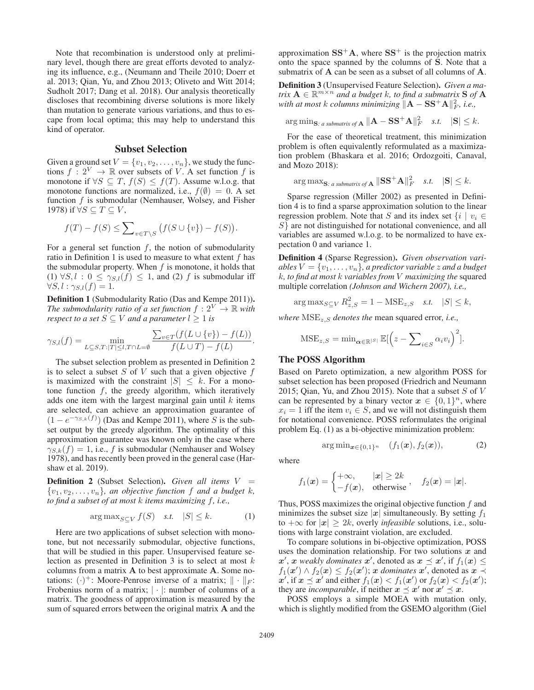Note that recombination is understood only at preliminary level, though there are great efforts devoted to analyzing its influence, e.g., (Neumann and Theile 2010; Doerr et al. 2013; Qian, Yu, and Zhou 2013; Oliveto and Witt 2014; Sudholt 2017; Dang et al. 2018). Our analysis theoretically discloses that recombining diverse solutions is more likely than mutation to generate various variations, and thus to escape from local optima; this may help to understand this kind of operator.

### Subset Selection

Given a ground set  $V = \{v_1, v_2, \dots, v_n\}$ , we study the functions  $f: 2^V \to \mathbb{R}$  over subsets of V. A set function f is monotone if  $\forall S \subseteq T$ ,  $f(S) \leq f(T)$ . Assume w.l.o.g. that monotone functions are normalized, i.e.,  $f(\emptyset)=0$ . A set function  $f$  is submodular (Nemhauser, Wolsey, and Fisher 1978) if  $\forall S \subseteq T \subseteq V$ ,

$$
f(T) - f(S) \le \sum_{v \in T \setminus S} \big(f(S \cup \{v\}) - f(S)\big).
$$

For a general set function  $f$ , the notion of submodularity ratio in Definition 1 is used to measure to what extent  $f$  has the submodular property. When  $f$  is monotone, it holds that (1)  $\forall S, l : 0 \leq \gamma_{S,l}(f) \leq 1$ , and (2) f is submodular iff  $\forall S, l : \gamma_{S,l}(f)=1.$ 

Definition 1 (Submodularity Ratio (Das and Kempe 2011)). *The submodularity ratio of a set function*  $f : 2^V \rightarrow \mathbb{R}$  with *respect to a set*  $S \subseteq V$  *and a parameter*  $l \geq 1$  *is* 

$$
\gamma_{S,l}(f) = \min_{L \subseteq S,T: |T| \leq l, T \cap L = \emptyset} \frac{\sum_{v \in T} (f(L \cup \{v\}) - f(L))}{f(L \cup T) - f(L)}.
$$

The subset selection problem as presented in Definition 2 is to select a subset  $S$  of  $V$  such that a given objective  $f$ is maximized with the constraint  $|S| \leq k$ . For a monotone function  $f$ , the greedy algorithm, which iteratively adds one item with the largest marginal gain until  $k$  items are selected, can achieve an approximation guarantee of  $(1 - e^{-\gamma_{S,k}(f)})$  (Das and Kempe 2011), where S is the subset output by the greedy algorithm. The optimality of this set output by the greedy algorithm. The optimality of this approximation guarantee was known only in the case where  $\gamma_{S,k}(f)=1$ , i.e., f is submodular (Nemhauser and Wolsey 1978), and has recently been proved in the general case (Harshaw et al. 2019).

Definition 2 (Subset Selection). *Given all items* <sup>V</sup> =  $\{v_1, v_2, \ldots, v_n\}$ , an objective function f and a budget k, *to find a subset of at most* k *items maximizing* f*, i.e.,*

$$
\arg \max_{S \subseteq V} f(S) \quad \text{s.t.} \quad |S| \le k. \tag{1}
$$

Here are two applications of subset selection with monotone, but not necessarily submodular, objective functions, that will be studied in this paper. Unsupervised feature selection as presented in Definition  $3$  is to select at most  $k$ columns from a matrix **A** to best approximate **A**. Some notations:  $(\cdot)^+$ : Moore-Penrose inverse of a matrix;  $\|\cdot\|_F$ : Frobenius norm of a matrix;  $|\cdot|$ : number of columns of a matrix. The goodness of approximation is measured by the sum of squared errors between the original matrix **A** and the

approximation  $SS^+A$ , where  $SS^+$  is the projection matrix onto the space spanned by the columns of **S**. Note that a submatrix of **A** can be seen as a subset of all columns of **A**.

Definition 3 (Unsupervised Feature Selection). *Given a matrix*  $\mathbf{A} \in \mathbb{R}^{m \times n}$  *and a budget* k, to find a submatrix **S** of **A** *with at most k columns minimizing*  $||\mathbf{A} - \mathbf{S}\mathbf{S}^+ \mathbf{A}||_F^2$ , *i.e.*,

$$
\arg\min_{\mathbf{S}: a \text{ submatrix of } \mathbf{A}} \|\mathbf{A} - \mathbf{S}\mathbf{S}^+ \mathbf{A}\|_F^2 \quad s.t. \quad |\mathbf{S}| \leq k.
$$

For the ease of theoretical treatment, this minimization problem is often equivalently reformulated as a maximization problem (Bhaskara et al. 2016; Ordozgoiti, Canaval, and Mozo 2018):

$$
\arg \max_{\mathbf{S}: a \text{ submatrix of } \mathbf{A}} \|\mathbf{S}\mathbf{S}^{+}\mathbf{A}\|_{F}^{2} \quad s.t. \quad |\mathbf{S}| \leq k.
$$

Sparse regression (Miller 2002) as presented in Definition 4 is to find a sparse approximation solution to the linear regression problem. Note that S and its index set  $\{i \mid v_i \in$ S} are not distinguished for notational convenience, and all variables are assumed w.l.o.g. to be normalized to have expectation 0 and variance 1.

Definition 4 (Sparse Regression). *Given observation variables*  $V = \{v_1, \ldots, v_n\}$ *, a predictor variable z and a budget* k*, to find at most* k *variables from* V *maximizing the* squared multiple correlation *(Johnson and Wichern 2007), i.e.,*

 $\arg \max_{S \subseteq V} R_{z,S}^2 = 1 - \text{MSE}_{z,S} \quad \text{s.t.} \quad |S| \leq k,$ 

*where*  $MSE_z$ , *s denotes the* mean squared error, *i.e.*,

$$
\text{MSE}_{z,S} = \min_{\alpha \in \mathbb{R}^{|S|}} \mathbb{E}[\left(z - \sum_{i \in S} \alpha_i v_i\right)^2].
$$

# The POSS Algorithm

Based on Pareto optimization, a new algorithm POSS for subset selection has been proposed (Friedrich and Neumann 2015; Qian, Yu, and Zhou 2015). Note that a subset  $S$  of  $V$ can be represented by a binary vector  $x \in \{0,1\}^n$ , where  $x_i = 1$  iff the item  $v_i \in S$ , and we will not distinguish them for notational convenience. POSS reformulates the original problem Eq. (1) as a bi-objective minimization problem:

$$
\arg\min_{\bm{x}\in\{0,1\}^n} \quad (f_1(\bm{x}), f_2(\bm{x})), \tag{2}
$$

where

$$
f_1(\boldsymbol{x}) = \begin{cases} +\infty, & |\boldsymbol{x}| \geq 2k \\ -f(\boldsymbol{x}), & \text{otherwise} \end{cases}, \quad f_2(\boldsymbol{x}) = |\boldsymbol{x}|.
$$

Thus, POSS maximizes the original objective function  $f$  and minimizes the subset size  $|x|$  simultaneously. By setting  $f_1$ to  $+\infty$  for  $|x| \geq 2k$ , overly *infeasible* solutions, i.e., solutions with large constraint violation, are excluded.

To compare solutions in bi-objective optimization, POSS uses the domination relationship. For two solutions *x* and  $x'$ , *x weakly dominates*  $x'$ , denoted as  $x \preceq x'$ , if  $f_1(x) \leq$ <br> $f_1(x') \wedge f_2(x) \leq f_2(x')$ ; *x dominates*  $x'$  denoted as  $x \preceq$  $f_1(x') \wedge f_2(x) \le f_2(x')$ ; *x dominates*  $x'$ , denoted as  $x \le x'$ <br> $x'$  if  $x \preceq x'$  and either  $f_1(x) \lt f_1(x')$  or  $f_2(x) \lt f_2(x')$ .  $x^7$ , if  $x \leq x^7$  and either  $f_1(x) < f_1(x')$  or  $f_2(x) < f_2(x')$ ;<br>they are *incomparable* if neither  $x \prec x'$  nor  $x' \prec x$ . they are *incomparable*, if neither  $x \preceq x'$  nor  $x' \preceq x$ .

POSS employs a simple MOEA with mutation only, which is slightly modified from the GSEMO algorithm (Giel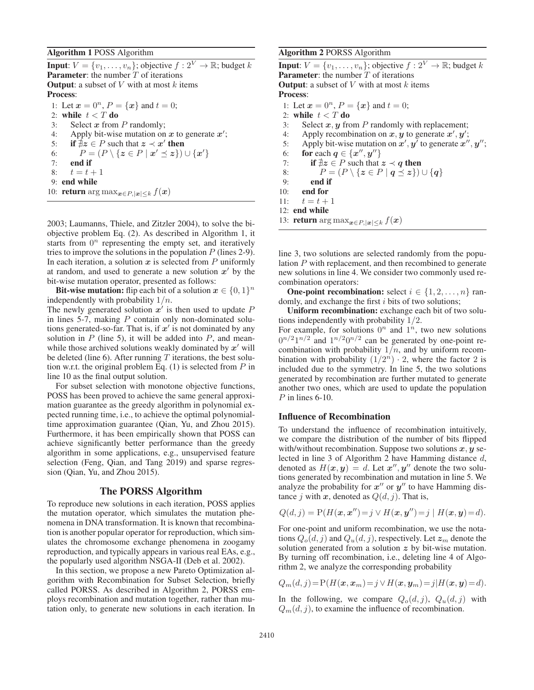Algorithm 1 POSS Algorithm

**Input:**  $V = \{v_1, \ldots, v_n\}$ ; objective  $f : 2^V \to \mathbb{R}$ ; budget k **Parameter:** the number  $T$  of iterations **Output:** a subset of  $V$  with at most  $k$  items Process: 1: Let  $x = 0^n$ ,  $P = \{x\}$  and  $t = 0$ ; 2: while  $t < T$  do 3: Select *x* from P randomly; 4: Apply bit-wise mutation on  $x$  to generate  $x'$ ; 5: if  $\overline{\nexists} z \in P$  such that  $z \prec x'$  then 6:  $P = (P \setminus \{z \in P \mid x' \preceq z\}) \cup \{x'\}$ <br>7. **end if** 7: end if 8:  $t = t + 1$ <br>9: **end while** 

10: **return** arg max $_{\boldsymbol{x} \in P, |\boldsymbol{x}| \leq k} f(\boldsymbol{x})$ 

2003; Laumanns, Thiele, and Zitzler 2004), to solve the biobjective problem Eq. (2). As described in Algorithm 1, it starts from  $0^n$  representing the empty set, and iteratively tries to improve the solutions in the population  $P$  (lines 2-9). In each iteration, a solution *x* is selected from P uniformly at random, and used to generate a new solution  $x'$  by the bit-wise mutation operator, presented as follows:

**Bit-wise mutation:** flip each bit of a solution  $x \in \{0,1\}^n$ independently with probability  $1/n$ .

The newly generated solution  $x'$  is then used to update  $P$ in lines 5-7, making  $P$  contain only non-dominated solutions generated-so-far. That is, if  $x'$  is not dominated by any solution in  $P$  (line 5), it will be added into  $P$ , and meanwhile those archived solutions weakly dominated by  $x'$  will be deleted (line 6). After running  $T$  iterations, the best solution w.r.t. the original problem Eq.  $(1)$  is selected from P in line 10 as the final output solution.

For subset selection with monotone objective functions, POSS has been proved to achieve the same general approximation guarantee as the greedy algorithm in polynomial expected running time, i.e., to achieve the optimal polynomialtime approximation guarantee (Qian, Yu, and Zhou 2015). Furthermore, it has been empirically shown that POSS can achieve significantly better performance than the greedy algorithm in some applications, e.g., unsupervised feature selection (Feng, Qian, and Tang 2019) and sparse regression (Qian, Yu, and Zhou 2015).

#### The PORSS Algorithm

To reproduce new solutions in each iteration, POSS applies the mutation operator, which simulates the mutation phenomena in DNA transformation. It is known that recombination is another popular operator for reproduction, which simulates the chromosome exchange phenomena in zoogamy reproduction, and typically appears in various real EAs, e.g., the popularly used algorithm NSGA-II (Deb et al. 2002).

In this section, we propose a new Pareto Optimization algorithm with Recombination for Subset Selection, briefly called PORSS. As described in Algorithm 2, PORSS employs recombination and mutation together, rather than mutation only, to generate new solutions in each iteration. In

#### Algorithm 2 PORSS Algorithm

**Input:**  $V = \{v_1, \ldots, v_n\}$ ; objective  $f : 2^V \to \mathbb{R}$ ; budget k **Parameter:** the number  $T$  of iterations **Output:** a subset of  $V$  with at most  $k$  items Process: 1: Let  $x = 0^n$ ,  $P = \{x\}$  and  $t = 0$ ; 2: while  $t < T$  do 3: Select  $x, y$  from  $P$  randomly with replacement; 4: Apply recombination on  $x, y$  to generate  $x', y'$ ; 5: Apply bit-wise mutation on  $x'$ ,  $y'$  to generate  $x''$ ,  $y''$ ; 6: **for** each  $q \in \{x'', y''\}$ 7: if  $\exists z \in P$  such that  $z \prec q$  then 7: **if**  $\nexists z \in P$  such that  $z \prec q$  then<br>8:  $P = (P \setminus \{z \in P | q \leq z\}) \cup \{q\}$ <br>9: **end if** 9: end if 10: end for 11:  $t = t + 1$ <br>12: **end while** 13: **return** arg max $_{\boldsymbol{x} \in P, |\boldsymbol{x}| \leq k} f(\boldsymbol{x})$ 

line 3, two solutions are selected randomly from the population P with replacement, and then recombined to generate new solutions in line 4. We consider two commonly used recombination operators:

**One-point recombination:** select  $i \in \{1, 2, ..., n\}$  randomly, and exchange the first  $i$  bits of two solutions;

Uniform recombination: exchange each bit of two solutions independently with probability 1/2.

For example, for solutions  $0^n$  and  $1^n$ , two new solutions  $0^{n/2}1^{n/2}$  and  $1^{n/2}0^{n/2}$  can be generated by one-point recombination with probability  $1/n$ , and by uniform recombination with probability  $(1/2^n) \cdot 2$ , where the factor 2 is included due to the symmetry. In line 5, the two solutions generated by recombination are further mutated to generate another two ones, which are used to update the population  $P$  in lines 6-10.

# Influence of Recombination

To understand the influence of recombination intuitively, we compare the distribution of the number of bits flipped with/without recombination. Suppose two solutions *x*, *y* selected in line 3 of Algorithm 2 have Hamming distance d, denoted as  $H(x, y) = d$ . Let  $x''$ ,  $y''$  denote the two solutions generated by recombination and mutation in line 5. We analyze the probability for  $x''$  or  $y''$  to have Hamming distance j with x, denoted as  $Q(d, j)$ . That is,

$$
Q(d, j) = P(H(\boldsymbol{x}, \boldsymbol{x}'') = j \lor H(\boldsymbol{x}, \boldsymbol{y}'') = j | H(\boldsymbol{x}, \boldsymbol{y}) = d).
$$

For one-point and uniform recombination, we use the notations  $Q_o(d, j)$  and  $Q_u(d, j)$ , respectively. Let  $z_m$  denote the solution generated from a solution *z* by bit-wise mutation. By turning off recombination, i.e., deleting line 4 of Algorithm 2, we analyze the corresponding probability

$$
Q_m(d,j) = P(H(\boldsymbol{x}, \boldsymbol{x}_m) = j \vee H(\boldsymbol{x}, \boldsymbol{y}_m) = j | H(\boldsymbol{x}, \boldsymbol{y}) = d).
$$

In the following, we compare  $Q_o(d, j)$ ,  $Q_u(d, j)$  with  $Q_m(d, j)$ , to examine the influence of recombination.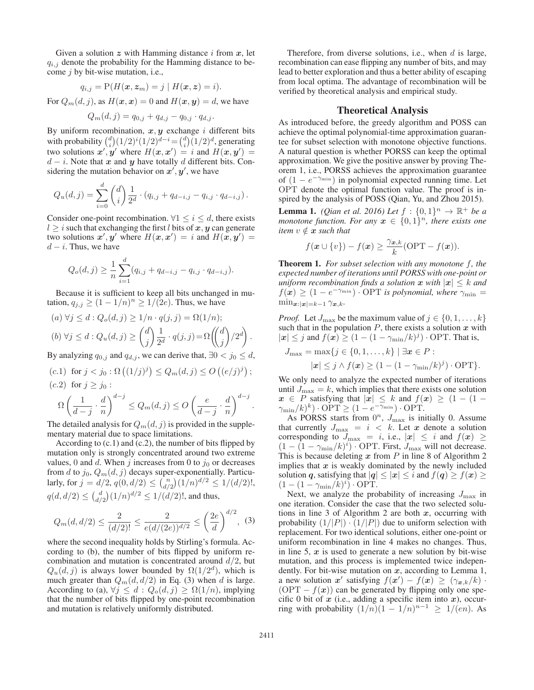Given a solution  $z$  with Hamming distance  $i$  from  $x$ , let  $q_{i,j}$  denote the probability for the Hamming distance to become  $j$  by bit-wise mutation, i.e.,

$$
q_{i,j} = P(H(\boldsymbol{x}, \boldsymbol{z}_m) = j \mid H(\boldsymbol{x}, \boldsymbol{z}) = i).
$$

For  $Q_m(d, j)$ , as  $H(\mathbf{x}, \mathbf{x}) = 0$  and  $H(\mathbf{x}, \mathbf{y}) = d$ , we have<br> $Q_m(d, j) = q_{0, \delta} + q_{d, \delta} - q_{0, \delta} \cdot q_{d, \delta}$ .

$$
Q_m(d, j) = q_{0,j} + q_{d,j} - q_{0,j} \cdot q_{d,j}.
$$

By uniform recombination,  $x, y$  exchange i different bits with probability  $\binom{d}{i}(1/2)^i(1/2)^{d-i} = \binom{d}{i}(1/2)^d$ , generating<br>two solutions  $x'$ , u' where  $H(x, x') = i$  and  $H(x, u') =$ two solutions  $x', y'$  where  $H(x, x') = i$  and  $H(x, y')$ <br>  $d - i$  Note that x and y have totally d different hits C  $d - i$ . Note that *x* and *y* have totally *d* different bits. Considering the mutation behavior on  $x', y'$ , we have

$$
Q_u(d,j) = \sum_{i=0}^d \binom{d}{i} \frac{1}{2^d} \cdot (q_{i,j} + q_{d-i,j} - q_{i,j} \cdot q_{d-i,j}).
$$

Consider one-point recombination.  $\forall 1 \leq i \leq d$ , there exists  $l > i$  such that exchanging the first l bits of x, y can generate two solutions  $x', y'$  where  $H(x, x') = i$  and  $H(x, y') = d - i$ . Thus we have  $d - i$ . Thus, we have

$$
Q_o(d,j) \geq \frac{1}{n} \sum_{i=1}^d (q_{i,j} + q_{d-i,j} - q_{i,j} \cdot q_{d-i,j}).
$$

Because it is sufficient to keep all bits unchanged in mutation,  $q_{j,j} \ge (1 - 1/n)^n \ge 1/(2e)$ . Thus, we have

(a) 
$$
\forall j \leq d : Q_o(d, j) \geq 1/n \cdot q(j, j) = \Omega(1/n);
$$
  
\n(b)  $\forall j \leq d : Q_u(d, j) \geq {d \choose j} \frac{1}{2^d} \cdot q(j, j) = \Omega({d \choose j} / 2^d).$ 

By analyzing  $q_{0,j}$  and  $q_{d,j}$ , we can derive that,  $\exists 0 < j_0 \leq d$ ,

(c.1) for  $j < j_0 : \Omega((1/j)^j) \le Q_m(d, j) \le O((e/j)^j)$  $(c.2)$  for  $j \geq j_0$ : d−j d−j

$$
\Omega\left(\frac{1}{d-j}\cdot\frac{d}{n}\right)^{d-j} \le Q_m(d,j) \le O\left(\frac{e}{d-j}\cdot\frac{d}{n}\right)^{d-j}.
$$

The detailed analysis for  $Q_m(d, j)$  is provided in the supplementary material due to space limitations.

According to  $(c.1)$  and  $(c.2)$ , the number of bits flipped by mutation only is strongly concentrated around two extreme values, 0 and d. When j increases from 0 to  $j_0$  or decreases from d to  $j_0$ ,  $Q_m(d, j)$  decays super-exponentially. Particularly, for  $j = d/2$ ,  $q(0, d/2) \leq {n \choose d/2} (1/n)^{d/2} \leq 1/(d/2)!$ ,  $q(d, d/2) \leq {d \choose d/2} (1/n)^{d/2} \leq 1/(d/2)!$ , and thus,

$$
Q_m(d, d/2) \le \frac{2}{(d/2)!} \le \frac{2}{e(d/(2e))^{d/2}} \le \left(\frac{2e}{d}\right)^{d/2}, \tag{3}
$$

where the second inequality holds by Stirling's formula. According to (b), the number of bits flipped by uniform recombination and mutation is concentrated around  $d/2$ , but  $Q_u(d, j)$  is always lower bounded by  $\Omega(1/2^d)$ , which is much greater than  $Q_m(d, d/2)$  in Eq. (3) when d is large. According to (a),  $\forall j \leq d : Q_o(d, j) \geq \Omega(1/n)$ , implying that the number of bits flipped by one-point recombination and mutation is relatively uniformly distributed.

Therefore, from diverse solutions, i.e., when  $d$  is large, recombination can ease flipping any number of bits, and may lead to better exploration and thus a better ability of escaping from local optima. The advantage of recombination will be verified by theoretical analysis and empirical study.

## Theoretical Analysis

As introduced before, the greedy algorithm and POSS can achieve the optimal polynomial-time approximation guarantee for subset selection with monotone objective functions. A natural question is whether PORSS can keep the optimal approximation. We give the positive answer by proving Theorem 1, i.e., PORSS achieves the approximation guarantee of  $(1 - e^{-\gamma_{\min}})$  in polynomial expected running time. Let OPT denote the optimal function value. The proof is inspired by the analysis of POSS (Qian, Yu, and Zhou 2015).

**Lemma 1.** *(Qian et al. 2016)* Let  $f : \{0, 1\}^n \to \mathbb{R}^+$  be a *monotone function. For any*  $x \in \{0,1\}^n$ *, there exists one item*  $v \notin \mathbf{x}$  *such that* 

$$
f(\mathbf{x} \cup \{v\}) - f(\mathbf{x}) \ge \frac{\gamma_{\mathbf{x},k}}{k} \text{(OPT} - f(\mathbf{x})\text{)}.
$$

Theorem 1. *For subset selection with any monotone* f*, the expected number of iterations until PORSS with one-point or uniform recombination finds a solution*  $x$  *with*  $|x| \leq k$  *and*  $f(\mathbf{x}) \geq (1 - e^{-\gamma_{\min}}) \cdot \text{OPT}$  *is polynomial, where*  $\gamma_{\min} =$  $\min_{\mathbf{x}:|\mathbf{x}|=k-1} \gamma_{\mathbf{x},k}$ .

*Proof.* Let  $J_{\text{max}}$  be the maximum value of  $j \in \{0, 1, \ldots, k\}$ such that in the population  $P$ , there exists a solution  $x$  with  $|x| \leq j$  and  $f(x) \geq (1 - (1 - \gamma_{\min}/k)^j) \cdot \text{OPT}$ . That is,

$$
J_{\max} = \max\{j \in \{0, 1, \dots, k\} \mid \exists \mathbf{x} \in P : |\mathbf{x}| \leq j \land f(\mathbf{x}) \geq (1 - (1 - \gamma_{\min}/k)^j) \cdot \text{OPT}\}.
$$

We only need to analyze the expected number of iterations until  $J_{\text{max}} = k$ , which implies that there exists one solution  $x \in P$  satisfying that  $|x| \leq k$  and  $f(x) \geq (1 - (1 - \gamma_{\min}) \cdot (k)^k) \cdot \text{OPT} > (1 - e^{-\gamma_{\min}}) \cdot \text{OPT}$  $\gamma_{\min}/k)^k$ ) · OPT  $\geq (1 - e^{-\gamma_{\min}})$  · OPT.<br>As PORSS starts from  $0^n$  *J<sub>nu</sub>* is in

As PORSS starts from  $0^n$ ,  $J'_{\text{max}}$  is initially 0. Assume<br>at currently  $J_{\text{max}} = i < k$ . Let x denote a solution that currently  $J_{\text{max}} = i < k$ . Let *x* denote a solution<br>corresponding to  $J_{\text{max}} = i$  i.e.  $|x| < i$  and  $f(x) >$ corresponding to  $J_{\text{max}} = i$ , i.e.,  $|x| \leq i$  and  $f(x) \geq$  $(1 - (1 - \gamma_{\min}/k)^i)$ . OPT. First,  $J_{\max}$  will not decrease.<br>This is because deleting x from P in line 8 of Algorithm 2 This is because deleting *x* from P in line 8 of Algorithm 2 implies that  $x$  is weakly dominated by the newly included solution *q*, satisfying that  $|q| \leq |x| \leq i$  and  $f(q) \geq f(x) \geq$  $(1 - (1 - \gamma_{\min}/k)^i) \cdot \text{OPT}.$ <br>Next we analyze the pro

Next, we analyze the probability of increasing  $J_{\text{max}}$  in one iteration. Consider the case that the two selected solutions in line 3 of Algorithm 2 are both *x*, occurring with probability  $(1/|P|) \cdot (1/|P|)$  due to uniform selection with replacement. For two identical solutions, either one-point or uniform recombination in line 4 makes no changes. Thus, in line 5, *x* is used to generate a new solution by bit-wise mutation, and this process is implemented twice independently. For bit-wise mutation on *x*, according to Lemma 1, a new solution *x'* satisfying  $f(x') - f(x) \ge (\gamma_{x,k}/k) \cdot (OPT - f(x))$  can be generated by flipping only one spe- $(OPT - f(x))$  can be generated by flipping only one specific 0 bit of  $x$  (i.e., adding a specific item into  $x$ ), occurring with probability  $(1/n)(1 - 1/n)^{n-1} \ge 1/(en)$ . As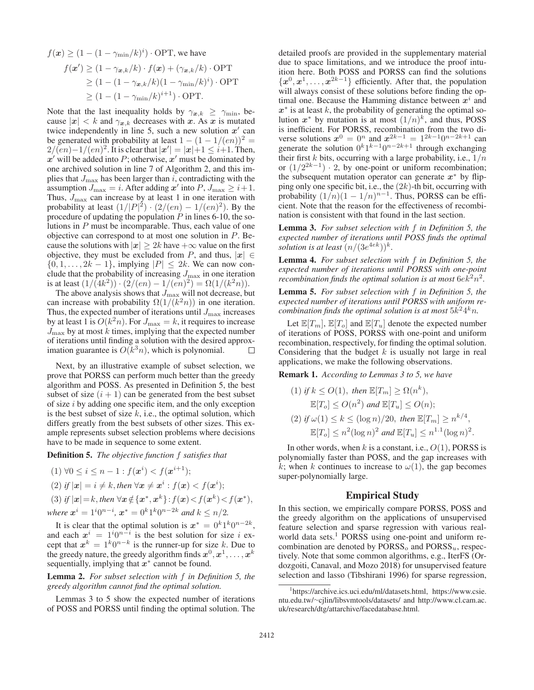$$
f(\mathbf{x}) \ge (1 - (1 - \gamma_{\min}/k)^i) \cdot \text{OPT}, \text{ we have}
$$
  
\n
$$
f(\mathbf{x}') \ge (1 - \gamma_{\mathbf{x},k}/k) \cdot f(\mathbf{x}) + (\gamma_{\mathbf{x},k}/k) \cdot \text{OPT}
$$
  
\n
$$
\ge (1 - (1 - \gamma_{\mathbf{x},k}/k)(1 - \gamma_{\min}/k)^i) \cdot \text{OPT}
$$
  
\n
$$
\ge (1 - (1 - \gamma_{\min}/k)^{i+1}) \cdot \text{OPT}.
$$

Note that the last inequality holds by  $\gamma_{x,k} \geq \gamma_{\min}$ , because  $|x| < k$  and  $\gamma_{x,k}$  decreases with *x*. As *x* is mutated twice independently in line 5, such a new solution  $x'$  can be generated with probability at least  $1 - (1 - 1/(en))^2$  =  $2/(\epsilon n)-1/(\epsilon n)^2$ . It is clear that  $|x'| = |x|+1 \leq i+1$ . Then, <br>*x'* will be added into P: otherwise *x'* must be dominated by  $x'$  will be added into  $P$ ; otherwise,  $x'$  must be dominated by one archived solution in line 7 of Algorithm 2, and this implies that  $J_{\text{max}}$  has been larger than i, contradicting with the assumption  $J_{\text{max}} = i$ . After adding  $x'$  into  $P$ ,  $J_{\text{max}} \geq i+1$ . Thus,  $J_{\text{max}}$  can increase by at least 1 in one iteration with probability at least  $(1/|P|^2) \cdot (2/(en) - 1/(en)^2)$ . By the procedure of undating the population P in lines 6-10 the soprocedure of updating the population  $P$  in lines 6-10, the solutions in P must be incomparable. Thus, each value of one objective can correspond to at most one solution in P. Because the solutions with  $|x| \geq 2k$  have  $+\infty$  value on the first objective, they must be excluded from P, and thus,  $|x| \in$  $\{0, 1, \ldots, 2k - 1\}$ , implying  $|P| \leq 2k$ . We can now conclude that the probability of increasing  $J_{\text{max}}$  in one iteration is at least  $(1/(4k^2)) \cdot (2/(en) - 1/(en)^2) = \Omega(1/(k^2n)).$ 

The above analysis shows that  $J_{\text{max}}$  will not decrease, but can increase with probability  $\Omega(1/(k^2n))$  in one iteration. Thus, the expected number of iterations until  $J_{\text{max}}$  increases by at least 1 is  $O(k^2n).$  For  $J_{\max}=k,$  it requires to increase  $J_{\text{max}}$  by at most k times, implying that the expected number of iterations until finding a solution with the desired approximation guarantee is  $O(k^3n)$ , which is polynomial.  $\Box$ 

Next, by an illustrative example of subset selection, we prove that PORSS can perform much better than the greedy algorithm and POSS. As presented in Definition 5, the best subset of size  $(i + 1)$  can be generated from the best subset of size i by adding one specific item, and the only exception is the best subset of size  $k$ , i.e., the optimal solution, which differs greatly from the best subsets of other sizes. This example represents subset selection problems where decisions have to be made in sequence to some extent.

Definition 5. *The objective function* f *satisfies that*

$$
(1) \forall 0 \le i \le n-1 : f(\mathbf{x}^i) < f(\mathbf{x}^{i+1});
$$
\n
$$
(2) \text{ if } |\mathbf{x}| = i \neq k, \text{ then } \forall \mathbf{x} \neq \mathbf{x}^i : f(\mathbf{x}) < f(\mathbf{x}^i);
$$
\n
$$
(3) \text{ if } |\mathbf{x}| = i \neq k, \text{ then } \forall \mathbf{x} \neq \mathbf{x}^i : f(\mathbf{x}) < f(\mathbf{x}^i);
$$

(3) if 
$$
|x| = k
$$
, then  $\forall x \notin \{x^*, x^k\} : f(x) < f(x^k) < f(x^*)$ ,  
where  $x^i = 1^i 0^{n-i}$ ,  $x^* = 0^k 1^k 0^{n-2k}$  and  $k \le n/2$ .

It is clear that the optimal solution is  $x^* = 0^k 1^k 0^{n-2k}$ ,<br>d each  $x^i = 1^i 0^{n-i}$  is the best solution for size i exand each  $x^i = 1^i 0^{n-i}$  is the best solution for size i ex-<br>cent that  $x^k = 1^k 0^{n-k}$  is the runner-un for size k. Due to cept that  $x^k = 1^k 0^{n-k}$  is the runner-up for size k. Due to the greedy nature, the greedy algorithm finds  $x^0, x^1, \ldots, x^k$ sequentially, implying that *x*<sup>∗</sup> cannot be found.

Lemma 2. *For subset selection with* f *in Definition 5, the greedy algorithm cannot find the optimal solution.*

Lemmas 3 to 5 show the expected number of iterations of POSS and PORSS until finding the optimal solution. The

detailed proofs are provided in the supplementary material due to space limitations, and we introduce the proof intuition here. Both POSS and PORSS can find the solutions  ${x^0, x^1, \ldots, x^{2k-1}}$  efficiently. After that, the population will always consist of these solutions before finding the optimal one. Because the Hamming distance between  $x<sup>i</sup>$  and  $x^*$  is at least k, the probability of generating the optimal solution  $x^*$  by mutation is at most  $(1/n)^k$ , and thus, POSS is inefficient. For PORSS, recombination from the two diverse solutions  $x^0 = 0^n$  and  $x^{2k-1} = 1^{2k-1}0^{n-2k+1}$  can<br>generate the solution  $0^k1^{k-1}0^{n-2k+1}$  through exchanging generate the solution  $0^k1^{k-1}0^{n-2k+1}$  through exchanging<br>their first k bits occurring with a large probability i.e.  $1/n$ their first k bits, occurring with a large probability, i.e.,  $1/n$ or  $(1/2^{2k-1}) \cdot 2$ , by one-point or uniform recombination; the subsequent mutation operator can generate *x*<sup>∗</sup> by flipping only one specific bit, i.e., the  $(2k)$ -th bit, occurring with probability  $(1/n)(1 - 1/n)^{n-1}$ . Thus, PORSS can be efficient. Note that the reason for the effectiveness of recombination is consistent with that found in the last section.

Lemma 3. *For subset selection with* f *in Definition 5, the expected number of iterations until POSS finds the optimal solution is at least*  $(n/(3e^{4ek}))^k$ .

Lemma 4. *For subset selection with* f *in Definition 5, the expected number of iterations until PORSS with one-point recombination finds the optimal solution is at most*  $6ek<sup>2</sup>n<sup>2</sup>$ .

Lemma 5. *For subset selection with* f *in Definition 5, the expected number of iterations until PORSS with uniform recombination finds the optimal solution is at most*  $5k^24^k n$ .

Let  $\mathbb{E}[T_m], \mathbb{E}[T_o]$  and  $\mathbb{E}[T_u]$  denote the expected number of iterations of POSS, PORSS with one-point and uniform recombination, respectively, for finding the optimal solution. Considering that the budget  $k$  is usually not large in real applications, we make the following observations.

Remark 1. *According to Lemmas 3 to 5, we have*

\n- (1) if 
$$
k \leq O(1)
$$
, then  $\mathbb{E}[T_m] \geq \Omega(n^k)$ ,  $\mathbb{E}[T_o] \leq O(n^2)$  and  $\mathbb{E}[T_u] \leq O(n)$ ;
\n- (2) if  $\omega(1) \leq k \leq (\log n)/20$ , then  $\mathbb{E}[T_m] \geq n^{k/4}$ ,  $\mathbb{E}[T_o] \leq n^2 (\log n)^2$  and  $\mathbb{E}[T_u] \leq n^{1.1} (\log n)^2$ .
\n

In other words, when k is a constant, i.e.,  $O(1)$ , PORSS is polynomially faster than POSS, and the gap increases with k; when k continues to increase to  $\omega(1)$ , the gap becomes super-polynomially large.

#### Empirical Study

In this section, we empirically compare PORSS, POSS and the greedy algorithm on the applications of unsupervised feature selection and sparse regression with various realworld data sets.<sup>1</sup> PORSS using one-point and uniform recombination are denoted by  $PORSS<sub>o</sub>$  and  $PORSS<sub>u</sub>$ , respectively. Note that some common algorithms, e.g., IterFS (Ordozgoiti, Canaval, and Mozo 2018) for unsupervised feature selection and lasso (Tibshirani 1996) for sparse regression,

<sup>1</sup> https://archive.ics.uci.edu/ml/datasets.html, https://www.csie. ntu.edu.tw/∼cjlin/libsvmtools/datasets/ and http://www.cl.cam.ac. uk/research/dtg/attarchive/facedatabase.html.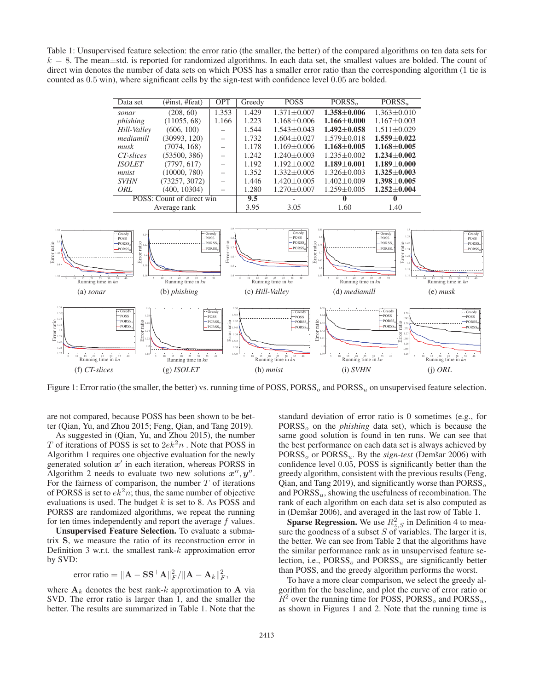Table 1: Unsupervised feature selection: the error ratio (the smaller, the better) of the compared algorithms on ten data sets for  $k = 8$ . The mean $\pm$ std. is reported for randomized algorithms. In each data set, the smallest values are bolded. The count of direct win denotes the number of data sets on which POSS has a smaller error ratio than the corresponding algorithm (1 tie is counted as 0.5 win), where significant cells by the sign-test with confidence level 0.05 are bolded.

| Data set                  | (#inst, #feat) | <b>OPT</b> | Greedy | <b>POSS</b>       | PORSS <sub>o</sub> | PORSS <sub>11</sub> |
|---------------------------|----------------|------------|--------|-------------------|--------------------|---------------------|
| sonar                     | (208, 60)      | 1.353      | 1.429  | $1.371 + 0.007$   | $1.358 + 0.006$    | $1.363 + 0.010$     |
| phishing                  | (11055, 68)    | 1.166      | 1.223  | $1.168 + 0.006$   | $1.166 + 0.000$    | $1.167 + 0.003$     |
| Hill-Valley               | (606, 100)     |            | 1.544  | $1.543 \pm 0.043$ | $1.492 + 0.058$    | $1.511 + 0.029$     |
| mediamill                 | (30993, 120)   |            | 1.732  | $1.604 + 0.027$   | $1.579 + 0.018$    | $1.559 \pm 0.022$   |
| musk                      | (7074, 168)    |            | 1.178  | $1.169 + 0.006$   | $1.168 + 0.005$    | $1.168 + 0.005$     |
| CT-slices                 | (53500, 386)   |            | 1.242  | $1.240 + 0.003$   | $1.235 + 0.002$    | $1.234 + 0.002$     |
| <i><b>ISOLET</b></i>      | (7797, 617)    |            | 1.192  | $1.192 + 0.002$   | $1.189 + 0.001$    | $1.189 + 0.000$     |
| mnist                     | (10000, 780)   |            | 1.352  | $1.332 + 0.005$   | $1.326 + 0.003$    | $1.325 + 0.003$     |
| <b>SVHN</b>               | (73257, 3072)  |            | 1.446  | $1.420 + 0.005$   | $1.402 + 0.009$    | $1.398 \pm 0.005$   |
| ORL                       | (400, 10304)   |            | 1.280  | $1.270 + 0.007$   | $1.259 + 0.005$    | $1.252 \pm 0.004$   |
| POSS: Count of direct win |                |            | 9.5    |                   | $\mathbf 0$        | $\mathbf{0}$        |
| Average rank              |                |            | 3.95   | 3.05              | 1.60               | 1.40                |



Figure 1: Error ratio (the smaller, the better) vs. running time of POSS, PORSS<sub>o</sub> and PORSS<sub>u</sub> on unsupervised feature selection.

are not compared, because POSS has been shown to be better (Qian, Yu, and Zhou 2015; Feng, Qian, and Tang 2019).

As suggested in (Qian, Yu, and Zhou 2015), the number  $T$  of iterations of POSS is set to  $2ek<sup>2</sup>n$  . Note that POSS in Algorithm 1 requires one objective evaluation for the newly generated solution  $x'$  in each iteration, whereas PORSS in Algorithm 2 needs to evaluate two new solutions  $x''$ ,  $y''$ . For the fairness of comparison, the number  $T$  of iterations of PORSS is set to  $ek<sup>2</sup>n$ ; thus, the same number of objective evaluations is used. The budget  $k$  is set to 8. As POSS and PORSS are randomized algorithms, we repeat the running for ten times independently and report the average f values.

Unsupervised Feature Selection. To evaluate a submatrix **S**, we measure the ratio of its reconstruction error in Definition 3 w.r.t. the smallest rank-k approximation error by SVD:

error ratio = 
$$
\|\mathbf{A} - \mathbf{S}\mathbf{S}^{+}\mathbf{A}\|_{F}^{2}/\|\mathbf{A} - \mathbf{A}_{k}\|_{F}^{2},
$$

where  $A_k$  denotes the best rank-k approximation to  $A$  via SVD. The error ratio is larger than 1, and the smaller the better. The results are summarized in Table 1. Note that the

standard deviation of error ratio is 0 sometimes (e.g., for PORSS<sub>o</sub> on the *phishing* data set), which is because the same good solution is found in ten runs. We can see that the best performance on each data set is always achieved by  $PORSS<sub>o</sub>$  or  $PORSS<sub>u</sub>$ . By the *sign-test* (Demšar 2006) with confidence level 0.05, POSS is significantly better than the greedy algorithm, consistent with the previous results (Feng, Qian, and Tang 2019), and significantly worse than  $PORSS_{o}$ and  $PORSS<sub>u</sub>$ , showing the usefulness of recombination. The rank of each algorithm on each data set is also computed as in (Demšar 2006), and averaged in the last row of Table 1.

**Sparse Regression.** We use  $R_{z,S}^2$  in Definition 4 to measure the goodness of a subset  $S$  of variables. The larger it is, the better. We can see from Table 2 that the algorithms have the similar performance rank as in unsupervised feature selection, i.e.,  $PORSS<sub>o</sub>$  and  $PORSS<sub>u</sub>$  are significantly better than POSS, and the greedy algorithm performs the worst.

To have a more clear comparison, we select the greedy algorithm for the baseline, and plot the curve of error ratio or  $R^2$  over the running time for POSS, PORSS<sub>o</sub> and PORSS<sub>u</sub>, as shown in Figures 1 and 2. Note that the running time is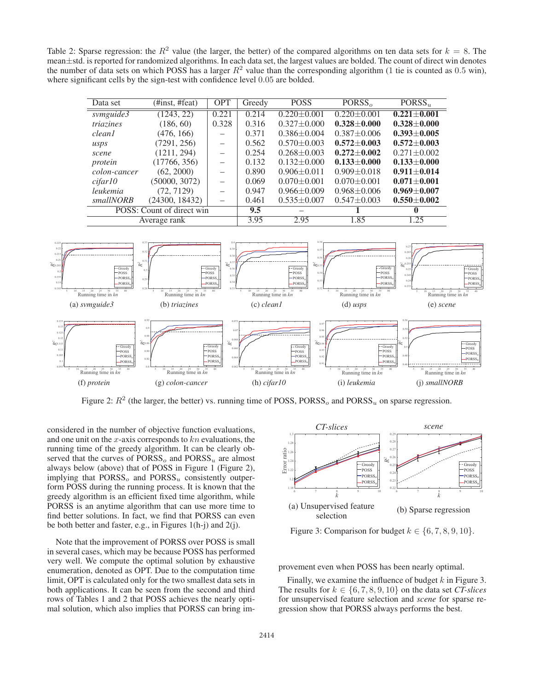Table 2: Sparse regression: the  $R^2$  value (the larger, the better) of the compared algorithms on ten data sets for  $k = 8$ . The mean±std. is reported for randomized algorithms. In each data set, the largest values are bolded. The count of direct win denotes the number of data sets on which POSS has a larger  $R^2$  value than the corresponding algorithm (1 tie is counted as 0.5 win), where significant cells by the sign-test with confidence level 0.05 are bolded.

| Data set                  | $(\text{Hint}, \#feat)$ | <b>OPT</b>               | Greedy         | <b>POSS</b>       | PORSS <sub>o</sub> | PORSS <sub>u</sub> |
|---------------------------|-------------------------|--------------------------|----------------|-------------------|--------------------|--------------------|
| swmguide3                 | (1243, 22)              | 0.221                    | $\sqrt{0.214}$ | $0.220 \pm 0.001$ | $0.220 \pm 0.001$  | $0.221 \pm 0.001$  |
| triazines                 | (186, 60)               | 0.328                    | 0.316          | $0.327 + 0.000$   | $0.328 + 0.000$    | $0.328 + 0.000$    |
| <i>clean1</i>             | (476, 166)              |                          | 0.371          | $0.386 \pm 0.004$ | $0.387 + 0.006$    | $0.393 \pm 0.005$  |
| usps                      | (7291, 256)             | $\overline{\phantom{a}}$ | 0.562          | $0.570 \pm 0.003$ | $0.572 \pm 0.003$  | $0.572 + 0.003$    |
| scene                     | (1211, 294)             | $\overline{\phantom{m}}$ | 0.254          | $0.268 \pm 0.003$ | $0.272 + 0.002$    | $0.271 \pm 0.002$  |
| protein                   | (17766, 356)            | $\equiv$                 | 0.132          | $0.132 \pm 0.000$ | $0.133 + 0.000$    | $0.133 \pm 0.000$  |
| colon-cancer              | (62, 2000)              |                          | 0.890          | $0.906 \pm 0.011$ | $0.909 + 0.018$    | $0.911 + 0.014$    |
| cifar10                   | (50000, 3072)           |                          | 0.069          | $0.070 \pm 0.001$ | $0.070 + 0.001$    | $0.071 + 0.001$    |
| leukemia                  | (72, 7129)              |                          | 0.947          | $0.966 \pm 0.009$ | $0.968 \pm 0.006$  | $0.969 \pm 0.007$  |
| smallNORB                 | (24300, 18432)          | $\overline{\phantom{0}}$ | 0.461          | $0.535 \pm 0.007$ | $0.547 \pm 0.003$  | $0.550\pm0.002$    |
| POSS: Count of direct win |                         |                          | 9.5            |                   |                    | $\mathbf{0}$       |
| Average rank              |                         |                          | 3.95           | 2.95              | 1.85               | 1.25               |



Figure 2:  $R^2$  (the larger, the better) vs. running time of POSS, PORSS<sub>o</sub> and PORSS<sub>u</sub> on sparse regression.

considered in the number of objective function evaluations, and one unit on the x-axis corresponds to  $kn$  evaluations, the running time of the greedy algorithm. It can be clearly observed that the curves of  $PORSS<sub>o</sub>$  and  $PORSS<sub>u</sub>$  are almost always below (above) that of POSS in Figure 1 (Figure 2), implying that  $PORSS<sub>o</sub>$  and  $PORSS<sub>u</sub>$  consistently outperform POSS during the running process. It is known that the greedy algorithm is an efficient fixed time algorithm, while PORSS is an anytime algorithm that can use more time to find better solutions. In fact, we find that PORSS can even be both better and faster, e.g., in Figures 1(h-j) and 2(j).

Note that the improvement of PORSS over POSS is small in several cases, which may be because POSS has performed very well. We compute the optimal solution by exhaustive enumeration, denoted as OPT. Due to the computation time limit, OPT is calculated only for the two smallest data sets in both applications. It can be seen from the second and third rows of Tables 1 and 2 that POSS achieves the nearly optimal solution, which also implies that PORSS can bring im-



Figure 3: Comparison for budget  $k \in \{6, 7, 8, 9, 10\}.$ 

provement even when POSS has been nearly optimal.

Finally, we examine the influence of budget  $k$  in Figure 3. The results for  $k \in \{6, 7, 8, 9, 10\}$  on the data set *CT-slices* for unsupervised feature selection and *scene* for sparse regression show that PORSS always performs the best.